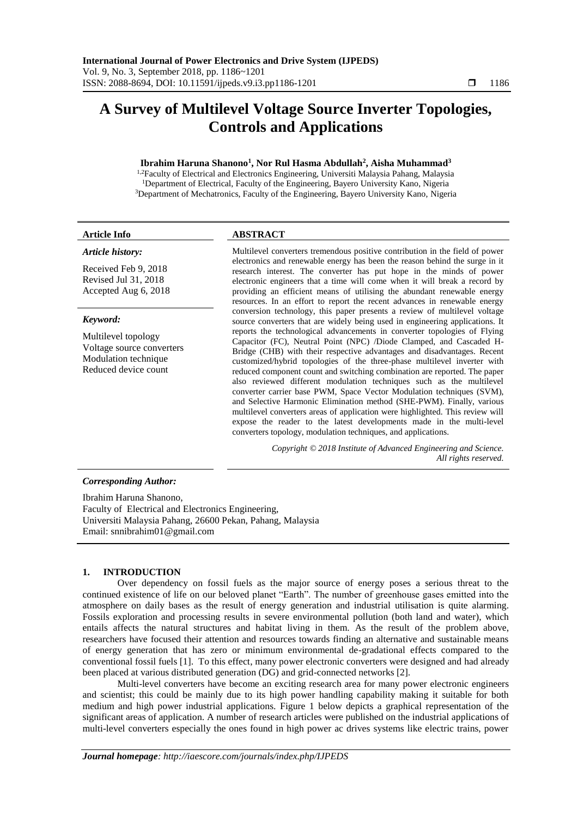# **A Survey of Multilevel Voltage Source Inverter Topologies, Controls and Applications**

# **Ibrahim Haruna Shanono<sup>1</sup> , Nor Rul Hasma Abdullah<sup>2</sup> , Aisha Muhammad<sup>3</sup>**

<sup>1,2</sup>Faculty of Electrical and Electronics Engineering, Universiti Malaysia Pahang, Malaysia <sup>1</sup>Department of Electrical, Faculty of the Engineering, Bayero University Kano, Nigeria <sup>3</sup>Department of Mechatronics, Faculty of the Engineering, Bayero University Kano, Nigeria

# *Article history:*

Received Feb 9, 2018 Revised Jul 31, 2018 Accepted Aug 6, 2018

# *Keyword:*

Multilevel topology Voltage source converters Modulation technique Reduced device count

# **Article Info ABSTRACT**

Multilevel converters tremendous positive contribution in the field of power electronics and renewable energy has been the reason behind the surge in it research interest. The converter has put hope in the minds of power electronic engineers that a time will come when it will break a record by providing an efficient means of utilising the abundant renewable energy resources. In an effort to report the recent advances in renewable energy conversion technology, this paper presents a review of multilevel voltage source converters that are widely being used in engineering applications. It reports the technological advancements in converter topologies of Flying Capacitor (FC), Neutral Point (NPC) /Diode Clamped, and Cascaded H-Bridge (CHB) with their respective advantages and disadvantages. Recent customized/hybrid topologies of the three-phase multilevel inverter with reduced component count and switching combination are reported. The paper also reviewed different modulation techniques such as the multilevel converter carrier base PWM, Space Vector Modulation techniques (SVM), and Selective Harmonic Elimination method (SHE-PWM). Finally, various multilevel converters areas of application were highlighted. This review will expose the reader to the latest developments made in the multi-level converters topology, modulation techniques, and applications.

> *Copyright © 2018 Institute of Advanced Engineering and Science. All rights reserved.*

# *Corresponding Author:*

Ibrahim Haruna Shanono, Faculty of Electrical and Electronics Engineering, Universiti Malaysia Pahang, 26600 Pekan, Pahang, Malaysia Email: snnibrahim01@gmail.com

# **1. INTRODUCTION**

Over dependency on fossil fuels as the major source of energy poses a serious threat to the continued existence of life on our beloved planet "Earth". The number of greenhouse gases emitted into the atmosphere on daily bases as the result of energy generation and industrial utilisation is quite alarming. Fossils exploration and processing results in severe environmental pollution (both land and water), which entails affects the natural structures and habitat living in them. As the result of the problem above, researchers have focused their attention and resources towards finding an alternative and sustainable means of energy generation that has zero or minimum environmental de-gradational effects compared to the conventional fossil fuels [1]. To this effect, many power electronic converters were designed and had already been placed at various distributed generation (DG) and grid-connected networks [2].

Multi-level converters have become an exciting research area for many power electronic engineers and scientist; this could be mainly due to its high power handling capability making it suitable for both medium and high power industrial applications. Figure 1 below depicts a graphical representation of the significant areas of application. A number of research articles were published on the industrial applications of multi-level converters especially the ones found in high power ac drives systems like electric trains, power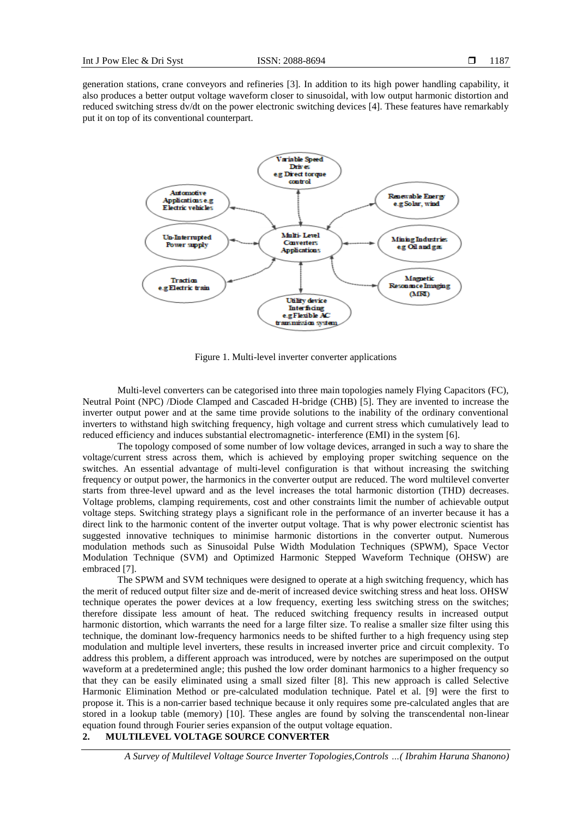generation stations, crane conveyors and refineries [3]. In addition to its high power handling capability, it also produces a better output voltage waveform closer to sinusoidal, with low output harmonic distortion and reduced switching stress dv/dt on the power electronic switching devices [4]. These features have remarkably put it on top of its conventional counterpart.



Figure 1. Multi-level inverter converter applications

Multi-level converters can be categorised into three main topologies namely Flying Capacitors (FC), Neutral Point (NPC) /Diode Clamped and Cascaded H-bridge (CHB) [5]. They are invented to increase the inverter output power and at the same time provide solutions to the inability of the ordinary conventional inverters to withstand high switching frequency, high voltage and current stress which cumulatively lead to reduced efficiency and induces substantial electromagnetic- interference (EMI) in the system [6].

The topology composed of some number of low voltage devices, arranged in such a way to share the voltage/current stress across them, which is achieved by employing proper switching sequence on the switches. An essential advantage of multi-level configuration is that without increasing the switching frequency or output power, the harmonics in the converter output are reduced. The word multilevel converter starts from three-level upward and as the level increases the total harmonic distortion (THD) decreases. Voltage problems, clamping requirements, cost and other constraints limit the number of achievable output voltage steps. Switching strategy plays a significant role in the performance of an inverter because it has a direct link to the harmonic content of the inverter output voltage. That is why power electronic scientist has suggested innovative techniques to minimise harmonic distortions in the converter output. Numerous modulation methods such as Sinusoidal Pulse Width Modulation Techniques (SPWM), Space Vector Modulation Technique (SVM) and Optimized Harmonic Stepped Waveform Technique (OHSW) are embraced [7].

The SPWM and SVM techniques were designed to operate at a high switching frequency, which has the merit of reduced output filter size and de-merit of increased device switching stress and heat loss. OHSW technique operates the power devices at a low frequency, exerting less switching stress on the switches; therefore dissipate less amount of heat. The reduced switching frequency results in increased output harmonic distortion, which warrants the need for a large filter size. To realise a smaller size filter using this technique, the dominant low-frequency harmonics needs to be shifted further to a high frequency using step modulation and multiple level inverters, these results in increased inverter price and circuit complexity. To address this problem, a different approach was introduced, were by notches are superimposed on the output waveform at a predetermined angle; this pushed the low order dominant harmonics to a higher frequency so that they can be easily eliminated using a small sized filter [8]. This new approach is called Selective Harmonic Elimination Method or pre-calculated modulation technique. Patel et al. [9] were the first to propose it. This is a non-carrier based technique because it only requires some pre-calculated angles that are stored in a lookup table (memory) [10]. These angles are found by solving the transcendental non-linear equation found through Fourier series expansion of the output voltage equation.

# **2. MULTILEVEL VOLTAGE SOURCE CONVERTER**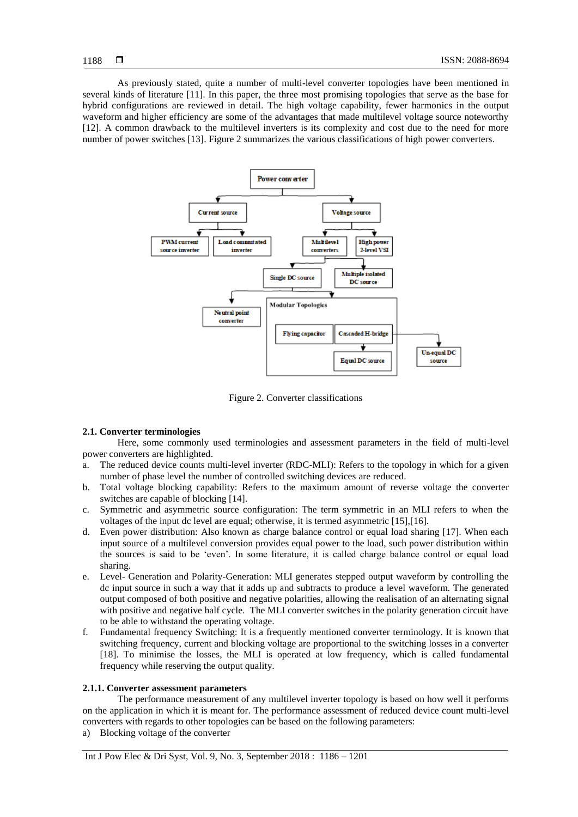As previously stated, quite a number of multi-level converter topologies have been mentioned in several kinds of literature [11]. In this paper, the three most promising topologies that serve as the base for hybrid configurations are reviewed in detail. The high voltage capability, fewer harmonics in the output waveform and higher efficiency are some of the advantages that made multilevel voltage source noteworthy [12]. A common drawback to the multilevel inverters is its complexity and cost due to the need for more number of power switches [13]. Figure 2 summarizes the various classifications of high power converters.



Figure 2. Converter classifications

# **2.1. Converter terminologies**

Here, some commonly used terminologies and assessment parameters in the field of multi-level power converters are highlighted.

- a. The reduced device counts multi-level inverter (RDC-MLI): Refers to the topology in which for a given number of phase level the number of controlled switching devices are reduced.
- b. Total voltage blocking capability: Refers to the maximum amount of reverse voltage the converter switches are capable of blocking [14].
- c. Symmetric and asymmetric source configuration: The term symmetric in an MLI refers to when the voltages of the input dc level are equal; otherwise, it is termed asymmetric [15],[16].
- d. Even power distribution: Also known as charge balance control or equal load sharing [17]. When each input source of a multilevel conversion provides equal power to the load, such power distribution within the sources is said to be 'even'. In some literature, it is called charge balance control or equal load sharing.
- e. Level- Generation and Polarity-Generation: MLI generates stepped output waveform by controlling the dc input source in such a way that it adds up and subtracts to produce a level waveform. The generated output composed of both positive and negative polarities, allowing the realisation of an alternating signal with positive and negative half cycle. The MLI converter switches in the polarity generation circuit have to be able to withstand the operating voltage.
- f. Fundamental frequency Switching: It is a frequently mentioned converter terminology. It is known that switching frequency, current and blocking voltage are proportional to the switching losses in a converter [18]. To minimise the losses, the MLI is operated at low frequency, which is called fundamental frequency while reserving the output quality.

# **2.1.1. Converter assessment parameters**

The performance measurement of any multilevel inverter topology is based on how well it performs on the application in which it is meant for. The performance assessment of reduced device count multi-level converters with regards to other topologies can be based on the following parameters:

a) Blocking voltage of the converter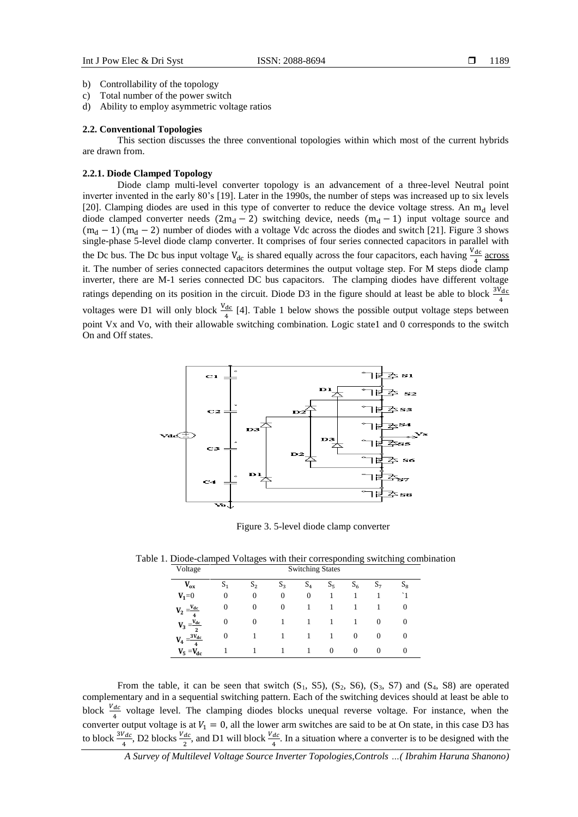- b) Controllability of the topology
- c) Total number of the power switch
- d) Ability to employ asymmetric voltage ratios

#### **2.2. Conventional Topologies**

This section discusses the three conventional topologies within which most of the current hybrids are drawn from.

#### **2.2.1. Diode Clamped Topology**

Diode clamp multi-level converter topology is an advancement of a three-level Neutral point inverter invented in the early 80's [19]. Later in the 1990s, the number of steps was increased up to six levels [20]. Clamping diodes are used in this type of converter to reduce the device voltage stress. An  $m_d$  level diode clamped converter needs  $(2m_d - 2)$  switching device, needs  $(m_d - 1)$  input voltage source and  $(m_d - 1)$   $(m_d - 2)$  number of diodes with a voltage Vdc across the diodes and switch [21]. Figure 3 shows single-phase 5-level diode clamp converter. It comprises of four series connected capacitors in parallel with the Dc bus. The Dc bus input voltage  $V_{dc}$  is shared equally across the four capacitors, each having  $\frac{V_{dc}}{4}$  across it. The number of series connected capacitors determines the output voltage step. For M steps diode clamp inverter, there are M-1 series connected DC bus capacitors. The clamping diodes have different voltage ratings depending on its position in the circuit. Diode D3 in the figure should at least be able to block  $\frac{3V_{dc}}{4}$ voltages were D1 will only block  $\frac{V_{dc}}{4}$  [4]. Table 1 below shows the possible output voltage steps between point Vx and Vo, with their allowable switching combination. Logic state1 and 0 corresponds to the switch On and Off states.



Figure 3. 5-level diode clamp converter

Table 1. Diode-clamped Voltages with their corresponding switching combination

| Voltage                                | <b>Switching States</b> |                |                |          |          |          |          |          |  |  |
|----------------------------------------|-------------------------|----------------|----------------|----------|----------|----------|----------|----------|--|--|
| $V_{ox}$                               | S <sub>1</sub>          | S <sub>2</sub> | $S_3$          | $S_4$    | $S_5$    | $S_6$    | $S_7$    | $S_{8}$  |  |  |
| $V_1 = 0$                              | $\Omega$                | 0              | $\overline{0}$ | $\theta$ | 1        |          |          |          |  |  |
| $V_2 = \frac{V_{dc}}{4}$               | 0                       | 0              | $\overline{0}$ |          |          |          |          | $\theta$ |  |  |
| $V_3 = \frac{V_{dc}}{2}$               | 0                       | $\Omega$       |                |          | ı        |          | $\Omega$ | $\theta$ |  |  |
| $3V_{dc}$<br>$V_4 =$<br>$\overline{4}$ | 0                       |                |                |          |          | $\Omega$ | 0        | 0        |  |  |
| $V_5 = V_{dc}$                         |                         |                |                |          | $\Omega$ | $\Omega$ | $\Omega$ | $\Omega$ |  |  |

From the table, it can be seen that switch  $(S_1, S_2, S_3, S_4, S_5)$ ,  $(S_3, S_5)$  and  $(S_4, S_6)$  are operated complementary and in a sequential switching pattern. Each of the switching devices should at least be able to block  $\frac{V_{dc}}{I}$  voltage level. The clamping diodes blocks unequal reverse voltage. For instance, when the converter output voltage is at  $V_1 = 0$ , all the lower arm switches are said to be at On state, in this case D3 has to block  $\frac{3V_{dc}}{4}$ , D2 blocks  $\frac{V_{dc}}{2}$ , and D1 will block  $\frac{V_{dc}}{4}$ . In a situation where a converter is to be designed with the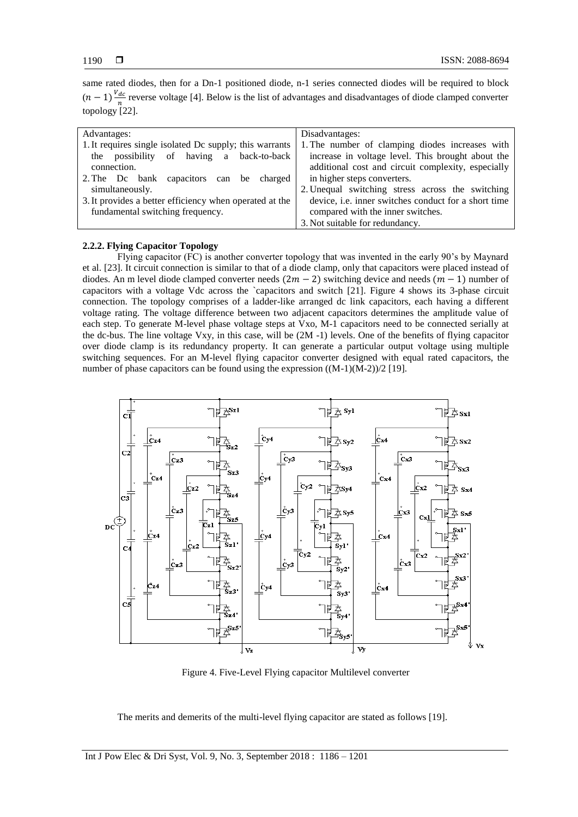same rated diodes, then for a Dn-1 positioned diode, n-1 series connected diodes will be required to block  $(n-1)\frac{V_{dc}}{n}$  $\frac{ac}{n}$  reverse voltage [4]. Below is the list of advantages and disadvantages of diode clamped converter topology [22].

| Advantages:                                             | Disadvantages:                                       |  |  |  |  |
|---------------------------------------------------------|------------------------------------------------------|--|--|--|--|
| 1. It requires single isolated Dc supply; this warrants | 1. The number of clamping diodes increases with      |  |  |  |  |
| the possibility of having a back-to-back                | increase in voltage level. This brought about the    |  |  |  |  |
| connection.                                             | additional cost and circuit complexity, especially   |  |  |  |  |
| 2. The Dc bank capacitors can be charged                | in higher steps converters.                          |  |  |  |  |
| simultaneously.                                         | 2. Unequal switching stress across the switching     |  |  |  |  |
| 3. It provides a better efficiency when operated at the | device, i.e. inner switches conduct for a short time |  |  |  |  |
| fundamental switching frequency.                        | compared with the inner switches.                    |  |  |  |  |
|                                                         | 3. Not suitable for redundancy.                      |  |  |  |  |

# **2.2.2. Flying Capacitor Topology**

Flying capacitor (FC) is another converter topology that was invented in the early 90's by Maynard et al. [23]. It circuit connection is similar to that of a diode clamp, only that capacitors were placed instead of diodes. An m level diode clamped converter needs  $(2m - 2)$  switching device and needs  $(m - 1)$  number of capacitors with a voltage Vdc across the `capacitors and switch [21]. Figure 4 shows its 3-phase circuit connection. The topology comprises of a ladder-like arranged dc link capacitors, each having a different voltage rating. The voltage difference between two adjacent capacitors determines the amplitude value of each step. To generate M-level phase voltage steps at Vxo, M-1 capacitors need to be connected serially at the dc-bus. The line voltage Vxy, in this case, will be (2M -1) levels. One of the benefits of flying capacitor over diode clamp is its redundancy property. It can generate a particular output voltage using multiple switching sequences. For an M-level flying capacitor converter designed with equal rated capacitors, the number of phase capacitors can be found using the expression  $((M-1)(M-2))/2$  [19].



Figure 4. Five-Level Flying capacitor Multilevel converter

The merits and demerits of the multi-level flying capacitor are stated as follows [19].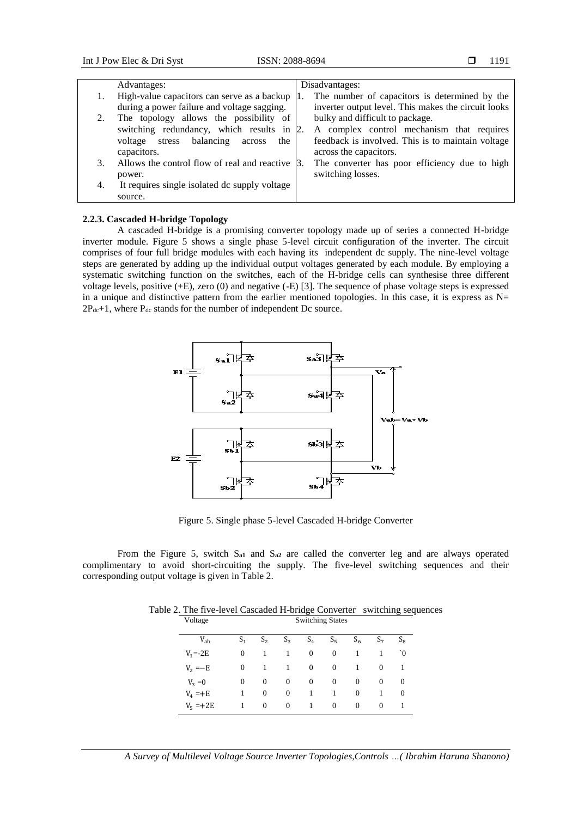|    | Advantages:                                   | Disadvantages:                                      |
|----|-----------------------------------------------|-----------------------------------------------------|
|    | High-value capacitors can serve as a backup   | The number of capacitors is determined by the       |
|    | during a power failure and voltage sagging.   | inverter output level. This makes the circuit looks |
|    | The topology allows the possibility of        | bulky and difficult to package.                     |
|    | switching redundancy, which results in 2.     | A complex control mechanism that requires           |
|    | voltage stress balancing<br>the<br>across     | feedback is involved. This is to maintain voltage   |
|    | capacitors.                                   | across the capacitors.                              |
| 3. | Allows the control flow of real and reactive  | The converter has poor efficiency due to high       |
|    | power.                                        | switching losses.                                   |
| 4. | It requires single isolated dc supply voltage |                                                     |
|    | source.                                       |                                                     |

#### **2.2.3. Cascaded H-bridge Topology**

A cascaded H-bridge is a promising converter topology made up of series a connected H-bridge inverter module. Figure 5 shows a single phase 5-level circuit configuration of the inverter. The circuit comprises of four full bridge modules with each having its independent dc supply. The nine-level voltage steps are generated by adding up the individual output voltages generated by each module. By employing a systematic switching function on the switches, each of the H-bridge cells can synthesise three different voltage levels, positive (+E), zero (0) and negative (-E) [3]. The sequence of phase voltage steps is expressed in a unique and distinctive pattern from the earlier mentioned topologies. In this case, it is express as  $N=$  $2P_{dc}+1$ , where  $P_{dc}$  stands for the number of independent Dc source.



Figure 5. Single phase 5-level Cascaded H-bridge Converter

From the Figure 5, switch S**a1** and S**a2** are called the converter leg and are always operated complimentary to avoid short-circuiting the supply. The five-level switching sequences and their corresponding output voltage is given in Table 2.

| Voltage     | <b>Switching States</b> |                |       |          |          |                |                |          |
|-------------|-------------------------|----------------|-------|----------|----------|----------------|----------------|----------|
| $V_{ab}$    | S <sub>1</sub>          | S <sub>2</sub> | $S_3$ | $S_4$    | $S_5$    | $S_6$          | S <sub>7</sub> | $S_8$    |
| $V_1 = -2E$ | 0                       | 1              | 1     | $\theta$ | $\theta$ |                |                | $\gamma$ |
| $V_2 = -E$  | 0                       | -1             | 1     | $\theta$ | $\theta$ |                | $\theta$       | 1        |
| $V_3 = 0$   | 0                       | $\theta$       | 0     | $\theta$ | $\theta$ | $\overline{0}$ | $\theta$       | $\theta$ |
| $V_4 = +E$  |                         | $\overline{0}$ | 0     | 1        | 1        | $\mathbf{0}$   | 1              | $\Omega$ |
| $V_5 = +2E$ |                         | $\theta$       | 0     | 1        | $\theta$ | $\overline{0}$ | $\theta$       |          |

Table 2. The five-level Cascaded H-bridge Converter switching sequences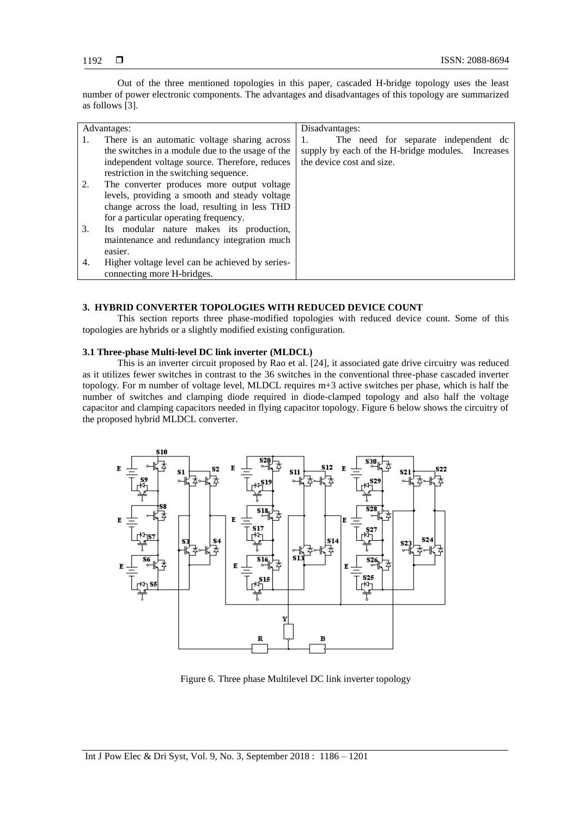Out of the three mentioned topologies in this paper, cascaded H-bridge topology uses the least number of power electronic components. The advantages and disadvantages of this topology are summarized as follows [3].

|    | Advantages:                                      | Disadvantages:                                    |  |  |  |  |  |
|----|--------------------------------------------------|---------------------------------------------------|--|--|--|--|--|
| 1. | There is an automatic voltage sharing across     | The need for separate independent dc              |  |  |  |  |  |
|    | the switches in a module due to the usage of the | supply by each of the H-bridge modules. Increases |  |  |  |  |  |
|    | independent voltage source. Therefore, reduces   | the device cost and size.                         |  |  |  |  |  |
|    | restriction in the switching sequence.           |                                                   |  |  |  |  |  |
| 2. | The converter produces more output voltage       |                                                   |  |  |  |  |  |
|    | levels, providing a smooth and steady voltage    |                                                   |  |  |  |  |  |
|    | change across the load, resulting in less THD    |                                                   |  |  |  |  |  |
|    | for a particular operating frequency.            |                                                   |  |  |  |  |  |
| 3. | Its modular nature makes its production,         |                                                   |  |  |  |  |  |
|    | maintenance and redundancy integration much      |                                                   |  |  |  |  |  |
|    | easier.                                          |                                                   |  |  |  |  |  |
| 4. | Higher voltage level can be achieved by series-  |                                                   |  |  |  |  |  |
|    | connecting more H-bridges.                       |                                                   |  |  |  |  |  |

# **3. HYBRID CONVERTER TOPOLOGIES WITH REDUCED DEVICE COUNT**

This section reports three phase-modified topologies with reduced device count. Some of this topologies are hybrids or a slightly modified existing configuration.

# **3.1 Three-phase Multi-level DC link inverter (MLDCL)**

This is an inverter circuit proposed by Rao et al. [24], it associated gate drive circuitry was reduced as it utilizes fewer switches in contrast to the 36 switches in the conventional three-phase cascaded inverter topology. For m number of voltage level, MLDCL requires m+3 active switches per phase, which is half the number of switches and clamping diode required in diode-clamped topology and also half the voltage capacitor and clamping capacitors needed in flying capacitor topology. Figure 6 below shows the circuitry of the proposed hybrid MLDCL converter.



Figure 6. Three phase Multilevel DC link inverter topology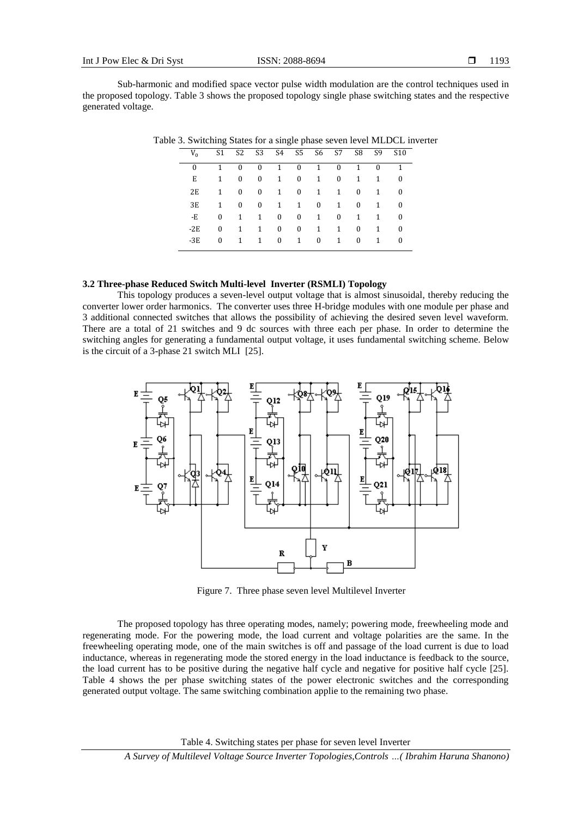Sub-harmonic and modified space vector pulse width modulation are the control techniques used in the proposed topology. Table 3 shows the proposed topology single phase switching states and the respective generated voltage.

| $V_0$    | S1           | S <sub>2</sub> | S3        |              | S4 S5 S6     |              | S7           | S8 <sup>3</sup> | S9 -     | S <sub>10</sub> |
|----------|--------------|----------------|-----------|--------------|--------------|--------------|--------------|-----------------|----------|-----------------|
| $\Omega$ | 1            | 0              | $\bf{0}$  | 1            | $\Omega$     | $\mathbf{1}$ | $\bf{0}$     | 1               | $\Omega$ |                 |
| Е        | 1            | $\bf{0}$       | $\bf{0}$  | $\mathbf{1}$ | $\mathbf{0}$ | 1            | $\bf{0}$     | 1               | 1        | 0               |
| 2E       | $\mathbf{1}$ | $\bf{0}$       | $\bf{0}$  | 1            | $\mathbf{0}$ | $\mathbf{1}$ | 1            | $\bf{0}$        | 1        | $\Omega$        |
| 3E       | 1            | $\bf{0}$       | $\bf{0}$  | 1            | $\mathbf{1}$ | $\bf{0}$     | 1            | $\bf{0}$        | 1        | $\Omega$        |
| -E       | 0            | 1              | 1         | 0            | $\mathbf{0}$ | $\mathbf{1}$ | $\mathbf{0}$ | 1               | 1        | $\Omega$        |
| $-2E$    | 0            | 1              | 1         | $\mathbf{0}$ | $\mathbf{0}$ | 1            | 1            | $\bf{0}$        | 1        | $\Omega$        |
| $-3E$    | $\Omega$     | 1              | $1 \quad$ | $\mathbf{0}$ | $\mathbf{1}$ | $\mathbf{0}$ | 1            | $\mathbf{0}$    | 1        | 0               |

Table 3. Switching States for a single phase seven level MLDCL inverter

# **3.2 Three-phase Reduced Switch Multi-level Inverter (RSMLI) Topology**

This topology produces a seven-level output voltage that is almost sinusoidal, thereby reducing the converter lower order harmonics. The converter uses three H-bridge modules with one module per phase and 3 additional connected switches that allows the possibility of achieving the desired seven level waveform. There are a total of 21 switches and 9 dc sources with three each per phase. In order to determine the switching angles for generating a fundamental output voltage, it uses fundamental switching scheme. Below is the circuit of a 3-phase 21 switch MLI [25].



Figure 7. Three phase seven level Multilevel Inverter

The proposed topology has three operating modes, namely; powering mode, freewheeling mode and regenerating mode. For the powering mode, the load current and voltage polarities are the same. In the freewheeling operating mode, one of the main switches is off and passage of the load current is due to load inductance, whereas in regenerating mode the stored energy in the load inductance is feedback to the source, the load current has to be positive during the negative half cycle and negative for positive half cycle [25]. Table 4 shows the per phase switching states of the power electronic switches and the corresponding generated output voltage. The same switching combination applie to the remaining two phase.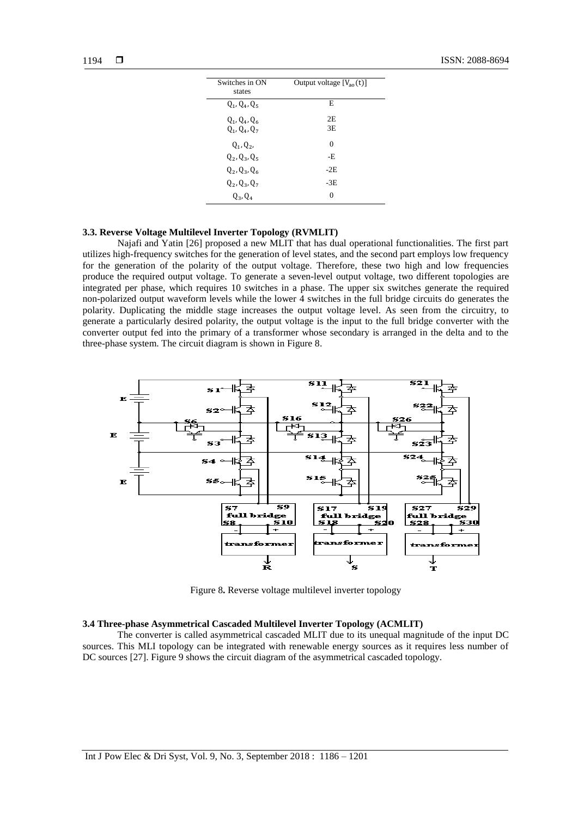| Switches in ON<br>states           | Output voltage $[V_{\text{ao}}(t)]$ |
|------------------------------------|-------------------------------------|
| $Q_1, Q_4, Q_5$                    | E                                   |
| $Q_1, Q_4, Q_6$<br>$Q_1, Q_4, Q_7$ | 2E<br>3E                            |
| $Q_1, Q_2,$                        | $\Omega$                            |
| $Q_2, Q_3, Q_5$                    | -E                                  |
| $Q_2, Q_3, Q_6$                    | $-2E$                               |
| $Q_2, Q_3, Q_7$                    | $-3E$                               |
| $Q_3, Q_4$                         | $\Omega$                            |

# **3.3. Reverse Voltage Multilevel Inverter Topology (RVMLIT)**

Najafi and Yatin [26] proposed a new MLIT that has dual operational functionalities. The first part utilizes high-frequency switches for the generation of level states, and the second part employs low frequency for the generation of the polarity of the output voltage. Therefore, these two high and low frequencies produce the required output voltage. To generate a seven-level output voltage, two different topologies are integrated per phase, which requires 10 switches in a phase. The upper six switches generate the required non-polarized output waveform levels while the lower 4 switches in the full bridge circuits do generates the polarity. Duplicating the middle stage increases the output voltage level. As seen from the circuitry, to generate a particularly desired polarity, the output voltage is the input to the full bridge converter with the converter output fed into the primary of a transformer whose secondary is arranged in the delta and to the three-phase system. The circuit diagram is shown in Figure 8.



Figure 8**.** Reverse voltage multilevel inverter topology

# **3.4 Three-phase Asymmetrical Cascaded Multilevel Inverter Topology (ACMLIT)**

The converter is called asymmetrical cascaded MLIT due to its unequal magnitude of the input DC sources. This MLI topology can be integrated with renewable energy sources as it requires less number of DC sources [27]. Figure 9 shows the circuit diagram of the asymmetrical cascaded topology.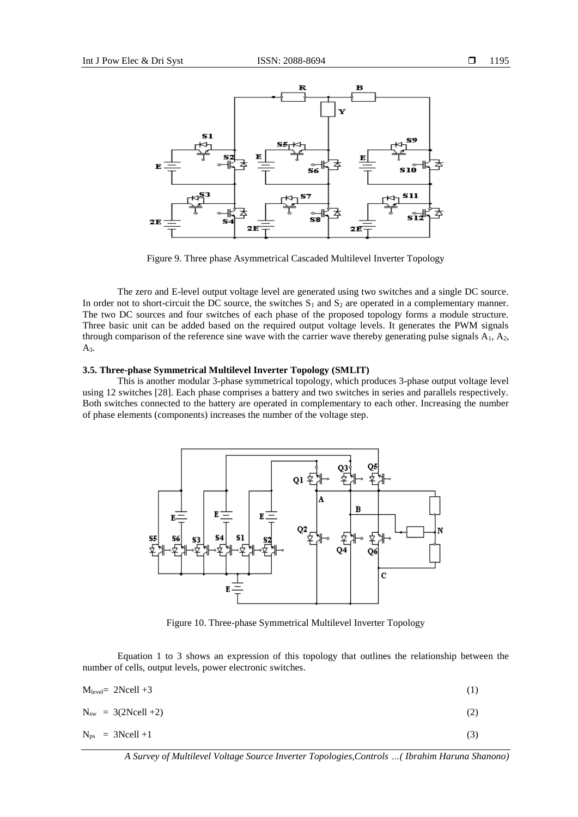

Figure 9. Three phase Asymmetrical Cascaded Multilevel Inverter Topology

The zero and E-level output voltage level are generated using two switches and a single DC source. In order not to short-circuit the DC source, the switches  $S_1$  and  $S_2$  are operated in a complementary manner. The two DC sources and four switches of each phase of the proposed topology forms a module structure. Three basic unit can be added based on the required output voltage levels. It generates the PWM signals through comparison of the reference sine wave with the carrier wave thereby generating pulse signals  $A_1$ ,  $A_2$ , A3.

#### **3.5. Three-phase Symmetrical Multilevel Inverter Topology (SMLIT)**

This is another modular 3-phase symmetrical topology, which produces 3-phase output voltage level using 12 switches [28]. Each phase comprises a battery and two switches in series and parallels respectively. Both switches connected to the battery are operated in complementary to each other. Increasing the number of phase elements (components) increases the number of the voltage step.



Figure 10. Three-phase Symmetrical Multilevel Inverter Topology

Equation 1 to 3 shows an expression of this topology that outlines the relationship between the number of cells, output levels, power electronic switches.

| $M_{level}= 2Ncell +3$   | (1) |
|--------------------------|-----|
| $N_{sw} = 3(2Ncell + 2)$ | (2) |
| $N_{ps}$ = 3Ncell +1     | (3) |

*A Survey of Multilevel Voltage Source Inverter Topologies,Controls …( Ibrahim Haruna Shanono)*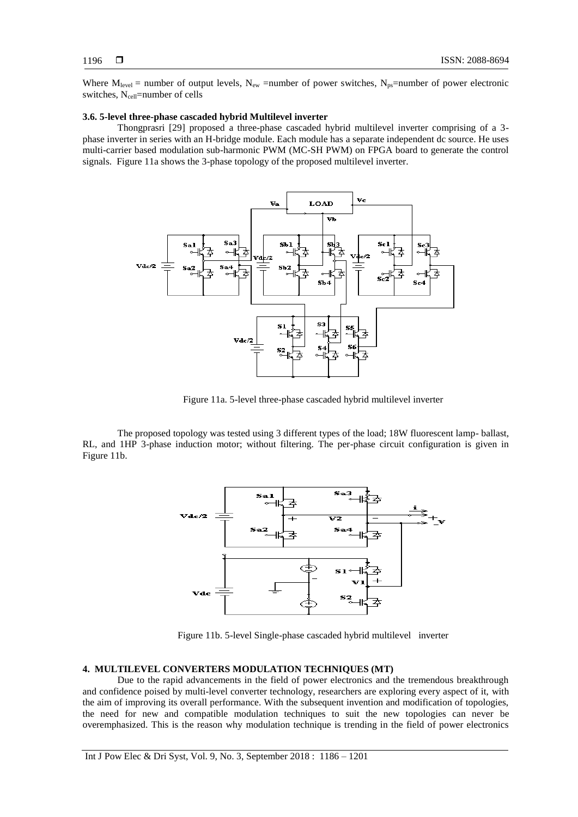Where  $M_{level}$  = number of output levels,  $N_{ew}$  =number of power switches,  $N_{ps}$ =number of power electronic switches, N<sub>cell</sub>=number of cells

#### **3.6. 5-level three-phase cascaded hybrid Multilevel inverter**

Thongprasri [29] proposed a three-phase cascaded hybrid multilevel inverter comprising of a 3 phase inverter in series with an H-bridge module. Each module has a separate independent dc source. He uses multi-carrier based modulation sub-harmonic PWM (MC-SH PWM) on FPGA board to generate the control signals. Figure 11a shows the 3-phase topology of the proposed multilevel inverter.



Figure 11a. 5-level three-phase cascaded hybrid multilevel inverter

The proposed topology was tested using 3 different types of the load; 18W fluorescent lamp- ballast, RL, and 1HP 3-phase induction motor; without filtering. The per-phase circuit configuration is given in Figure 11b.



Figure 11b. 5-level Single-phase cascaded hybrid multilevel inverter

# **4. MULTILEVEL CONVERTERS MODULATION TECHNIQUES (MT)**

Due to the rapid advancements in the field of power electronics and the tremendous breakthrough and confidence poised by multi-level converter technology, researchers are exploring every aspect of it, with the aim of improving its overall performance. With the subsequent invention and modification of topologies, the need for new and compatible modulation techniques to suit the new topologies can never be overemphasized. This is the reason why modulation technique is trending in the field of power electronics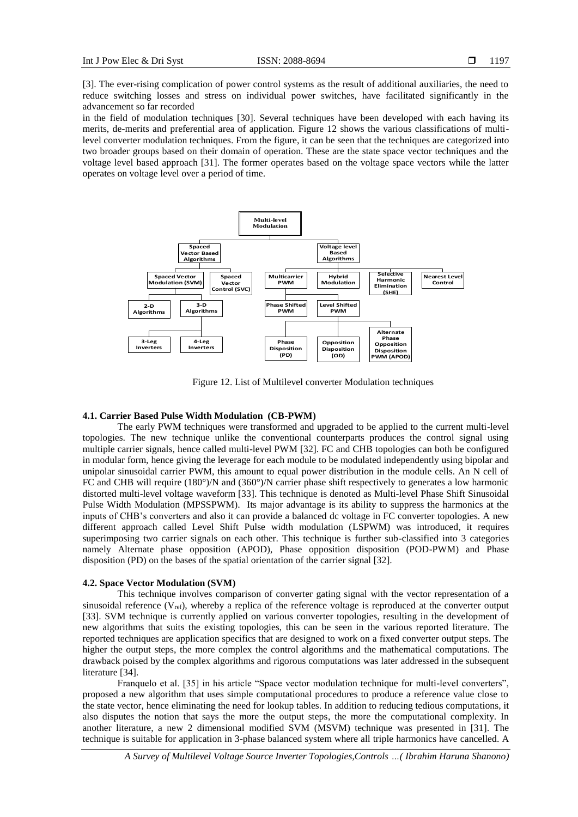[3]. The ever-rising complication of power control systems as the result of additional auxiliaries, the need to reduce switching losses and stress on individual power switches, have facilitated significantly in the advancement so far recorded

in the field of modulation techniques [30]. Several techniques have been developed with each having its merits, de-merits and preferential area of application. Figure 12 shows the various classifications of multilevel converter modulation techniques. From the figure, it can be seen that the techniques are categorized into two broader groups based on their domain of operation. These are the state space vector techniques and the voltage level based approach [31]. The former operates based on the voltage space vectors while the latter operates on voltage level over a period of time.



Figure 12. List of Multilevel converter Modulation techniques

# **4.1. Carrier Based Pulse Width Modulation (CB-PWM)**

The early PWM techniques were transformed and upgraded to be applied to the current multi-level topologies. The new technique unlike the conventional counterparts produces the control signal using multiple carrier signals, hence called multi-level PWM [32]. FC and CHB topologies can both be configured in modular form, hence giving the leverage for each module to be modulated independently using bipolar and unipolar sinusoidal carrier PWM, this amount to equal power distribution in the module cells. An N cell of FC and CHB will require (180°)/N and (360°)/N carrier phase shift respectively to generates a low harmonic distorted multi-level voltage waveform [33]. This technique is denoted as Multi-level Phase Shift Sinusoidal Pulse Width Modulation (MPSSPWM). Its major advantage is its ability to suppress the harmonics at the inputs of CHB's converters and also it can provide a balanced dc voltage in FC converter topologies. A new different approach called Level Shift Pulse width modulation (LSPWM) was introduced, it requires superimposing two carrier signals on each other. This technique is further sub-classified into 3 categories namely Alternate phase opposition (APOD), Phase opposition disposition (POD-PWM) and Phase disposition (PD) on the bases of the spatial orientation of the carrier signal [32].

#### **4.2. Space Vector Modulation (SVM)**

This technique involves comparison of converter gating signal with the vector representation of a sinusoidal reference ( $V_{ref}$ ), whereby a replica of the reference voltage is reproduced at the converter output [33]. SVM technique is currently applied on various converter topologies, resulting in the development of new algorithms that suits the existing topologies, this can be seen in the various reported literature. The reported techniques are application specifics that are designed to work on a fixed converter output steps. The higher the output steps, the more complex the control algorithms and the mathematical computations. The drawback poised by the complex algorithms and rigorous computations was later addressed in the subsequent literature [34].

Franquelo et al. [35] in his article "Space vector modulation technique for multi-level converters", proposed a new algorithm that uses simple computational procedures to produce a reference value close to the state vector, hence eliminating the need for lookup tables. In addition to reducing tedious computations, it also disputes the notion that says the more the output steps, the more the computational complexity. In another literature, a new 2 dimensional modified SVM (MSVM) technique was presented in [31]. The technique is suitable for application in 3-phase balanced system where all triple harmonics have cancelled. A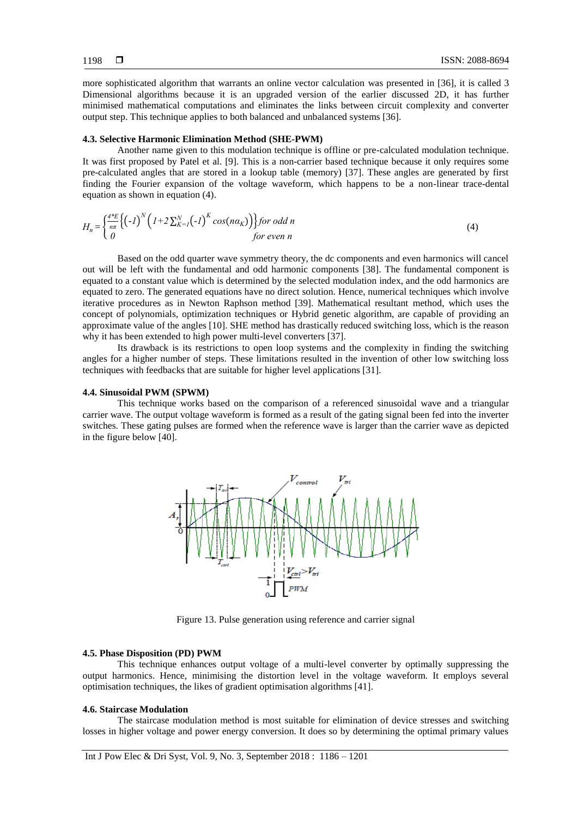more sophisticated algorithm that warrants an online vector calculation was presented in [36], it is called 3 Dimensional algorithms because it is an upgraded version of the earlier discussed 2D, it has further minimised mathematical computations and eliminates the links between circuit complexity and converter output step. This technique applies to both balanced and unbalanced systems [36].

# **4.3. Selective Harmonic Elimination Method (SHE-PWM)**

Another name given to this modulation technique is offline or pre-calculated modulation technique. It was first proposed by Patel et al. [9]. This is a non-carrier based technique because it only requires some pre-calculated angles that are stored in a lookup table (memory) [37]. These angles are generated by first finding the Fourier expansion of the voltage waveform, which happens to be a non-linear trace-dental equation as shown in equation (4).

$$
H_n = \left\{ \frac{4^*E}{n\pi} \left\{ \left( -I \right)^N \left( 1 + 2 \sum_{K=1}^N \left( -I \right)^K \cos(n\alpha_K) \right) \right\} \text{ for odd } n \right\}
$$
\n(4)

\nfor even n

Based on the odd quarter wave symmetry theory, the dc components and even harmonics will cancel out will be left with the fundamental and odd harmonic components [38]. The fundamental component is equated to a constant value which is determined by the selected modulation index, and the odd harmonics are equated to zero. The generated equations have no direct solution. Hence, numerical techniques which involve iterative procedures as in Newton Raphson method [39]. Mathematical resultant method, which uses the concept of polynomials, optimization techniques or Hybrid genetic algorithm, are capable of providing an approximate value of the angles [10]. SHE method has drastically reduced switching loss, which is the reason why it has been extended to high power multi-level converters [37].

Its drawback is its restrictions to open loop systems and the complexity in finding the switching angles for a higher number of steps. These limitations resulted in the invention of other low switching loss techniques with feedbacks that are suitable for higher level applications [31].

# **4.4. Sinusoidal PWM (SPWM)**

This technique works based on the comparison of a referenced sinusoidal wave and a triangular carrier wave. The output voltage waveform is formed as a result of the gating signal been fed into the inverter switches. These gating pulses are formed when the reference wave is larger than the carrier wave as depicted in the figure below [40].



Figure 13. Pulse generation using reference and carrier signal

# **4.5. Phase Disposition (PD) PWM**

This technique enhances output voltage of a multi-level converter by optimally suppressing the output harmonics. Hence, minimising the distortion level in the voltage waveform. It employs several optimisation techniques, the likes of gradient optimisation algorithms [41].

#### **4.6. Staircase Modulation**

The staircase modulation method is most suitable for elimination of device stresses and switching losses in higher voltage and power energy conversion. It does so by determining the optimal primary values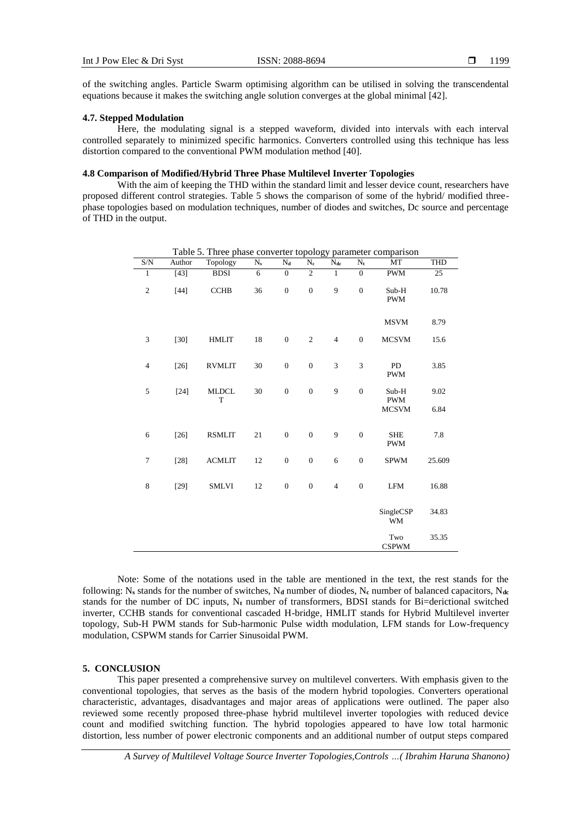of the switching angles. Particle Swarm optimising algorithm can be utilised in solving the transcendental equations because it makes the switching angle solution converges at the global minimal [42].

# **4.7. Stepped Modulation**

Here, the modulating signal is a stepped waveform, divided into intervals with each interval controlled separately to minimized specific harmonics. Converters controlled using this technique has less distortion compared to the conventional PWM modulation method [40].

#### **4.8 Comparison of Modified/Hybrid Three Phase Multilevel Inverter Topologies**

With the aim of keeping the THD within the standard limit and lesser device count, researchers have proposed different control strategies. Table 5 shows the comparison of some of the hybrid/ modified threephase topologies based on modulation techniques, number of diodes and switches, Dc source and percentage of THD in the output.

| S/N            | Author | Topology          | $\overline{N_s}$ | $\overline{N_d}$ | $\overline{N_c}$ | ▱<br>$N_{dc}$  | $\overline{N_t}$ | MT                       | <b>THD</b> |
|----------------|--------|-------------------|------------------|------------------|------------------|----------------|------------------|--------------------------|------------|
| $\overline{1}$ | $[43]$ | <b>BDSI</b>       | $\overline{6}$   | $\overline{0}$   | $\overline{2}$   | $\overline{1}$ | $\overline{0}$   | <b>PWM</b>               | 25         |
| $\sqrt{2}$     | $[44]$ | <b>CCHB</b>       | 36               | $\mathbf{0}$     | $\boldsymbol{0}$ | 9              | $\boldsymbol{0}$ | Sub-H<br><b>PWM</b>      | 10.78      |
|                |        |                   |                  |                  |                  |                |                  | <b>MSVM</b>              | 8.79       |
| 3              | $[30]$ | <b>HMLIT</b>      | $18\,$           | $\boldsymbol{0}$ | $\sqrt{2}$       | $\overline{4}$ | $\boldsymbol{0}$ | <b>MCSVM</b>             | 15.6       |
| $\overline{4}$ | $[26]$ | <b>RVMLIT</b>     | $30\,$           | $\boldsymbol{0}$ | $\boldsymbol{0}$ | $\mathfrak{Z}$ | 3                | PD<br><b>PWM</b>         | 3.85       |
| 5              | $[24]$ | <b>MLDCL</b><br>T | $30\,$           | $\boldsymbol{0}$ | $\boldsymbol{0}$ | 9              | $\boldsymbol{0}$ | Sub-H<br><b>PWM</b>      | 9.02       |
|                |        |                   |                  |                  |                  |                |                  | <b>MCSVM</b>             | 6.84       |
| 6              | $[26]$ | <b>RSMLIT</b>     | $21\,$           | $\boldsymbol{0}$ | $\boldsymbol{0}$ | 9              | $\boldsymbol{0}$ | <b>SHE</b><br><b>PWM</b> | 7.8        |
| $\tau$         | $[28]$ | <b>ACMLIT</b>     | 12               | $\overline{0}$   | $\boldsymbol{0}$ | 6              | $\boldsymbol{0}$ | <b>SPWM</b>              | 25.609     |
| $\,$ 8 $\,$    | $[29]$ | <b>SMLVI</b>      | 12               | $\boldsymbol{0}$ | $\boldsymbol{0}$ | $\overline{4}$ | $\boldsymbol{0}$ | LFM                      | 16.88      |
|                |        |                   |                  |                  |                  |                |                  | SingleCSP<br><b>WM</b>   | 34.83      |
|                |        |                   |                  |                  |                  |                |                  | Two<br><b>CSPWM</b>      | 35.35      |

Table 5. Three phase converter topology parameter comparison

Note: Some of the notations used in the table are mentioned in the text, the rest stands for the following: N<sub>s</sub> stands for the number of switches, N<sub>d</sub> number of diodes, N<sub>c</sub> number of balanced capacitors, N<sub>dc</sub> stands for the number of DC inputs, N**<sup>t</sup>** number of transformers, BDSI stands for Bi=derictional switched inverter, CCHB stands for conventional cascaded H-bridge, HMLIT stands for Hybrid Multilevel inverter topology, Sub-H PWM stands for Sub-harmonic Pulse width modulation, LFM stands for Low-frequency modulation, CSPWM stands for Carrier Sinusoidal PWM.

# **5. CONCLUSION**

This paper presented a comprehensive survey on multilevel converters. With emphasis given to the conventional topologies, that serves as the basis of the modern hybrid topologies. Converters operational characteristic, advantages, disadvantages and major areas of applications were outlined. The paper also reviewed some recently proposed three-phase hybrid multilevel inverter topologies with reduced device count and modified switching function. The hybrid topologies appeared to have low total harmonic distortion, less number of power electronic components and an additional number of output steps compared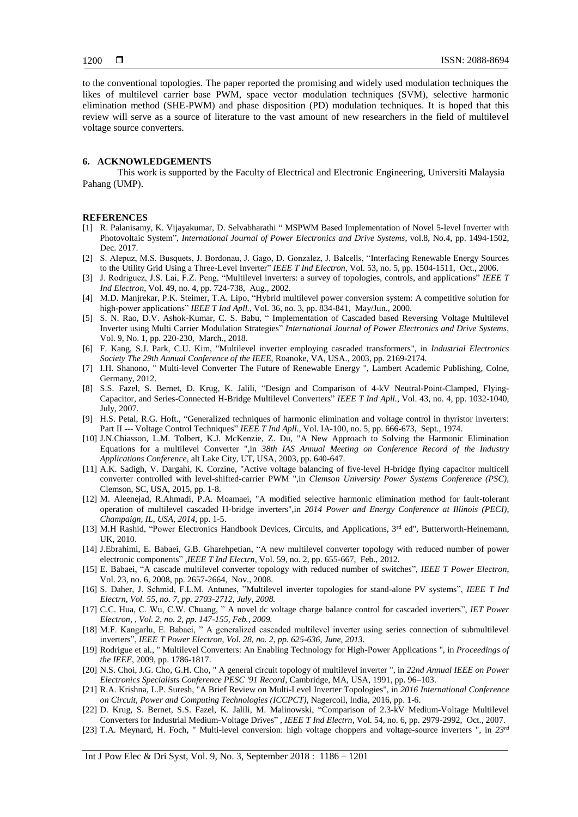to the conventional topologies. The paper reported the promising and widely used modulation techniques the likes of multilevel carrier base PWM, space vector modulation techniques (SVM), selective harmonic elimination method (SHE-PWM) and phase disposition (PD) modulation techniques. It is hoped that this review will serve as a source of literature to the vast amount of new researchers in the field of multilevel voltage source converters.

#### **6. ACKNOWLEDGEMENTS**

This work is supported by the Faculty of Electrical and Electronic Engineering, Universiti Malaysia Pahang (UMP).

#### **REFERENCES**

- [1] R. Palanisamy, K. Vijayakumar, D. Selvabharathi " MSPWM Based Implementation of Novel 5-level Inverter with Photovoltaic System", *International Journal of Power Electronics and Drive Systems*, vol.8, No.4, pp. 1494-1502, Dec. 2017.
- [2] S. Alepuz, M.S. Busquets, J. Bordonau, J. Gago, D. Gonzalez, J. Balcells, "Interfacing Renewable Energy Sources to the Utility Grid Using a Three-Level Inverter" *IEEE T Ind Electron*, Vol. 53, no. 5, pp. 1504-1511, Oct., 2006.
- [3] J. Rodriguez, J.S. Lai, F.Z. Peng, "Multilevel inverters: a survey of topologies, controls, and applications" *IEEE T Ind Electron*, Vol. 49, no. 4, pp. 724-738, Aug., 2002.
- [4] M.D. Manjrekar, P.K. Steimer, T.A. Lipo, "Hybrid multilevel power conversion system: A competitive solution for high-power applications" *IEEE T Ind Apll.*, Vol. 36, no. 3, pp. 834-841, May/Jun., 2000.
- [5] S. N. Rao, D.V. Ashok-Kumar, C. S. Babu, " Implementation of Cascaded based Reversing Voltage Multilevel Inverter using Multi Carrier Modulation Strategies" *International Journal of Power Electronics and Drive Systems*, Vol. 9, No. 1, pp. 220-230, March., 2018.
- [6] F. Kang, S.J. Park, C.U. Kim, "Multilevel inverter employing cascaded transformers", in *Industrial Electronics Society The 29th Annual Conference of the IEEE*, Roanoke, VA, USA., 2003, pp. 2169-2174.
- [7] I.H. Shanono, " Multi-level Converter The Future of Renewable Energy ", Lambert Academic Publishing, Colne, Germany, 2012.
- [8] S.S. Fazel, S. Bernet, D. Krug, K. Jalili, "Design and Comparison of 4-kV Neutral-Point-Clamped, Flying-Capacitor, and Series-Connected H-Bridge Multilevel Converters" *IEEE T Ind Apll.*, Vol. 43, no. 4, pp. 1032-1040, July, 2007.
- [9] H.S. Petal, R.G. Hoft., "Generalized techniques of harmonic elimination and voltage control in thyristor inverters: Part II --- Voltage Control Techniques" IEEE T Ind Apll., Vol. IA-100, no. 5, pp. 666-673, Sept., 1974.
- [10] J.N.Chiasson, L.M. Tolbert, K.J. McKenzie, Z. Du, "A New Approach to Solving the Harmonic Elimination Equations for a multilevel Converter ",in *38th IAS Annual Meeting on Conference Record of the Industry Applications Conference,* alt Lake City, UT, USA, 2003, pp. 640-647.
- [11] A.K. Sadigh, V. Dargahi, K. Corzine, "Active voltage balancing of five-level H-bridge flying capacitor multicell converter controlled with level-shifted-carrier PWM ",in *Clemson University Power Systems Conference (PSC)*, Clemson, SC, USA, 2015, pp. 1-8.
- [12] M. Aleenejad, R.Ahmadi, P.A. Moamaei, "A modified selective harmonic elimination method for fault-tolerant operation of multilevel cascaded H-bridge inverters",in *2014 Power and Energy Conference at Illinois (PECI), Champaign, IL, USA, 2014,* pp. 1-5.
- [13] M.H Rashid, "Power Electronics Handbook Devices, Circuits, and Applications, 3<sup>rd</sup> ed", Butterworth-Heinemann, UK, 2010.
- [14] J.Ebrahimi, E. Babaei, G.B. Gharehpetian, "A new multilevel converter topology with reduced number of power electronic components" ,*IEEE T Ind Electrn*, Vol. 59, no. 2, pp. 655-667, Feb., 2012.
- [15] E. Babaei, "A cascade multilevel converter topology with reduced number of switches", *IEEE T Power Electron*, Vol. 23, no. 6, 2008, pp. 2657-2664, Nov., 2008.
- [16] S. Daher, J. Schmid, F.L.M. Antunes, "Multilevel inverter topologies for stand-alone PV systems", *IEEE T Ind Electrn, Vol. 55, no. 7, pp. 2703-2712, July, 2008.*
- [17] C.C. Hua, C. Wu, C.W. Chuang, " A novel dc voltage charge balance control for cascaded inverters", *IET Power Electron*, *, Vol. 2, no. 2, pp. 147-155, Feb., 2009.*
- [18] M.F. Kangarlu, E. Babaei, " A generalized cascaded multilevel inverter using series connection of submultilevel inverters", *IEEE T Power Electron*, *Vol. 28, no. 2, pp. 625-636, June, 2013.*
- [19] Rodrigue et al., " Multilevel Converters: An Enabling Technology for High-Power Applications ", in *Proceedings of the IEEE*, 2009, pp. 1786-1817.
- [20] N.S. Choi, J.G. Cho, G.H. Cho, " A general circuit topology of multilevel inverter ", in *22nd Annual IEEE on Power Electronics Specialists Conference PESC '91 Record*, Cambridge, MA, USA, 1991, pp. 96–103.
- [21] R.A. Krishna, L.P. Suresh, "A Brief Review on Multi-Level Inverter Topologies", in *2016 International Conference on Circuit, Power and Computing Technologies (ICCPCT),* Nagercoil, India, 2016, pp. 1-6.
- [22] D. Krug, S. Bernet, S.S. Fazel, K. Jalili, M. Malinowski, "Comparison of 2.3-kV Medium-Voltage Multilevel Converters for Industrial Medium-Voltage Drives" , *IEEE T Ind Electrn*, Vol. 54, no. 6, pp. 2979-2992, Oct., 2007.
- [23] T.A. Meynard, H. Foch, " Multi-level conversion: high voltage choppers and voltage-source inverters ", in *23rd*